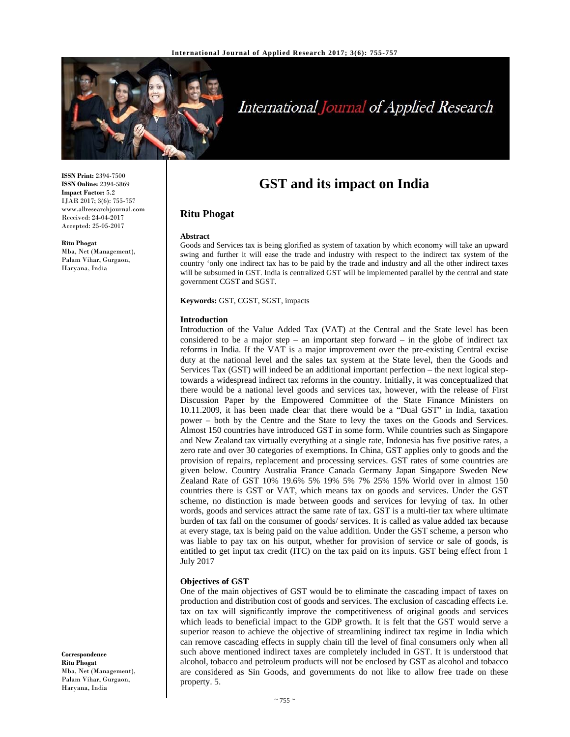

# International Journal of Applied Research

**ISSN Print:** 2394-7500 **ISSN Online:** 2394-5869 **Impact Factor:** 5.2 IJAR 2017; 3(6): 755-757 www.allresearchjournal.com Received: 24-04-2017 Accepted: 25-05-2017

**Ritu Phogat**  Mba, Net (Management), Palam Vihar, Gurgaon, Haryana, India

**GST and its impact on India**

# **Ritu Phogat**

#### **Abstract**

Goods and Services tax is being glorified as system of taxation by which economy will take an upward swing and further it will ease the trade and industry with respect to the indirect tax system of the country 'only one indirect tax has to be paid by the trade and industry and all the other indirect taxes will be subsumed in GST. India is centralized GST will be implemented parallel by the central and state government CGST and SGST.

**Keywords:** GST, CGST, SGST, impacts

## **Introduction**

Introduction of the Value Added Tax (VAT) at the Central and the State level has been considered to be a major step – an important step forward – in the globe of indirect tax reforms in India. If the VAT is a major improvement over the pre-existing Central excise duty at the national level and the sales tax system at the State level, then the Goods and Services Tax (GST) will indeed be an additional important perfection – the next logical steptowards a widespread indirect tax reforms in the country. Initially, it was conceptualized that there would be a national level goods and services tax, however, with the release of First Discussion Paper by the Empowered Committee of the State Finance Ministers on 10.11.2009, it has been made clear that there would be a "Dual GST" in India, taxation power – both by the Centre and the State to levy the taxes on the Goods and Services. Almost 150 countries have introduced GST in some form. While countries such as Singapore and New Zealand tax virtually everything at a single rate, Indonesia has five positive rates, a zero rate and over 30 categories of exemptions. In China, GST applies only to goods and the provision of repairs, replacement and processing services. GST rates of some countries are given below. Country Australia France Canada Germany Japan Singapore Sweden New Zealand Rate of GST 10% 19.6% 5% 19% 5% 7% 25% 15% World over in almost 150 countries there is GST or VAT, which means tax on goods and services. Under the GST scheme, no distinction is made between goods and services for levying of tax. In other words, goods and services attract the same rate of tax. GST is a multi-tier tax where ultimate burden of tax fall on the consumer of goods/ services. It is called as value added tax because at every stage, tax is being paid on the value addition. Under the GST scheme, a person who was liable to pay tax on his output, whether for provision of service or sale of goods, is entitled to get input tax credit (ITC) on the tax paid on its inputs. GST being effect from 1 July 2017

# **Objectives of GST**

One of the main objectives of GST would be to eliminate the cascading impact of taxes on production and distribution cost of goods and services. The exclusion of cascading effects i.e. tax on tax will significantly improve the competitiveness of original goods and services which leads to beneficial impact to the GDP growth. It is felt that the GST would serve a superior reason to achieve the objective of streamlining indirect tax regime in India which can remove cascading effects in supply chain till the level of final consumers only when all such above mentioned indirect taxes are completely included in GST. It is understood that alcohol, tobacco and petroleum products will not be enclosed by GST as alcohol and tobacco are considered as Sin Goods, and governments do not like to allow free trade on these property. 5.

**Correspondence Ritu Phogat**  Mba, Net (Management), Palam Vihar, Gurgaon, Haryana, India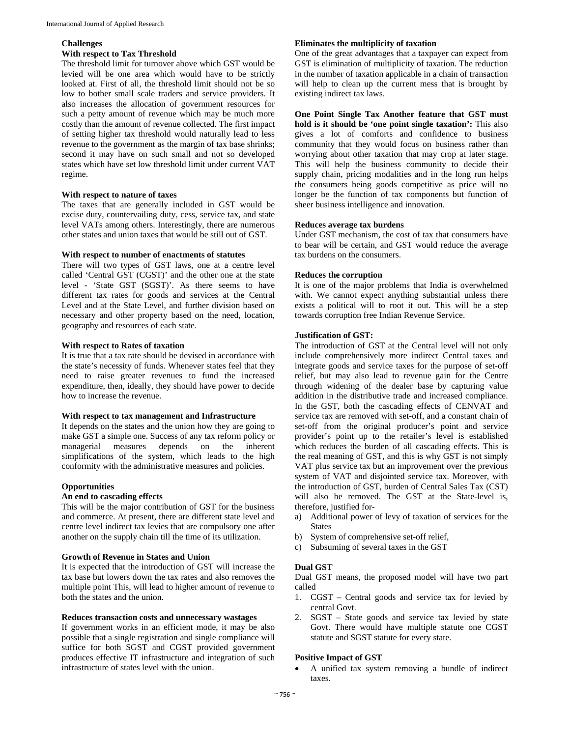## **Challenges**

# **With respect to Tax Threshold**

The threshold limit for turnover above which GST would be levied will be one area which would have to be strictly looked at. First of all, the threshold limit should not be so low to bother small scale traders and service providers. It also increases the allocation of government resources for such a petty amount of revenue which may be much more costly than the amount of revenue collected. The first impact of setting higher tax threshold would naturally lead to less revenue to the government as the margin of tax base shrinks; second it may have on such small and not so developed states which have set low threshold limit under current VAT regime.

## **With respect to nature of taxes**

The taxes that are generally included in GST would be excise duty, countervailing duty, cess, service tax, and state level VATs among others. Interestingly, there are numerous other states and union taxes that would be still out of GST.

## **With respect to number of enactments of statutes**

There will two types of GST laws, one at a centre level called 'Central GST (CGST)' and the other one at the state level - 'State GST (SGST)'. As there seems to have different tax rates for goods and services at the Central Level and at the State Level, and further division based on necessary and other property based on the need, location, geography and resources of each state.

## **With respect to Rates of taxation**

It is true that a tax rate should be devised in accordance with the state's necessity of funds. Whenever states feel that they need to raise greater revenues to fund the increased expenditure, then, ideally, they should have power to decide how to increase the revenue.

## **With respect to tax management and Infrastructure**

It depends on the states and the union how they are going to make GST a simple one. Success of any tax reform policy or managerial measures depends on the inherent simplifications of the system, which leads to the high conformity with the administrative measures and policies.

# **Opportunities**

## **An end to cascading effects**

This will be the major contribution of GST for the business and commerce. At present, there are different state level and centre level indirect tax levies that are compulsory one after another on the supply chain till the time of its utilization.

## **Growth of Revenue in States and Union**

It is expected that the introduction of GST will increase the tax base but lowers down the tax rates and also removes the multiple point This, will lead to higher amount of revenue to both the states and the union.

## **Reduces transaction costs and unnecessary wastages**

If government works in an efficient mode, it may be also possible that a single registration and single compliance will suffice for both SGST and CGST provided government produces effective IT infrastructure and integration of such infrastructure of states level with the union.

## **Eliminates the multiplicity of taxation**

One of the great advantages that a taxpayer can expect from GST is elimination of multiplicity of taxation. The reduction in the number of taxation applicable in a chain of transaction will help to clean up the current mess that is brought by existing indirect tax laws.

**One Point Single Tax Another feature that GST must hold is it should be 'one point single taxation':** This also gives a lot of comforts and confidence to business community that they would focus on business rather than worrying about other taxation that may crop at later stage. This will help the business community to decide their supply chain, pricing modalities and in the long run helps the consumers being goods competitive as price will no longer be the function of tax components but function of sheer business intelligence and innovation.

## **Reduces average tax burdens**

Under GST mechanism, the cost of tax that consumers have to bear will be certain, and GST would reduce the average tax burdens on the consumers.

## **Reduces the corruption**

It is one of the major problems that India is overwhelmed with. We cannot expect anything substantial unless there exists a political will to root it out. This will be a step towards corruption free Indian Revenue Service.

# **Justification of GST:**

The introduction of GST at the Central level will not only include comprehensively more indirect Central taxes and integrate goods and service taxes for the purpose of set-off relief, but may also lead to revenue gain for the Centre through widening of the dealer base by capturing value addition in the distributive trade and increased compliance. In the GST, both the cascading effects of CENVAT and service tax are removed with set-off, and a constant chain of set-off from the original producer's point and service provider's point up to the retailer's level is established which reduces the burden of all cascading effects. This is the real meaning of GST, and this is why GST is not simply VAT plus service tax but an improvement over the previous system of VAT and disjointed service tax. Moreover, with the introduction of GST, burden of Central Sales Tax (CST) will also be removed. The GST at the State-level is, therefore, justified for-

- a) Additional power of levy of taxation of services for the **States**
- b) System of comprehensive set-off relief,
- c) Subsuming of several taxes in the GST

## **Dual GST**

Dual GST means, the proposed model will have two part called

- 1. CGST Central goods and service tax for levied by central Govt.
- 2. SGST State goods and service tax levied by state Govt. There would have multiple statute one CGST statute and SGST statute for every state.

## **Positive Impact of GST**

 A unified tax system removing a bundle of indirect taxes.